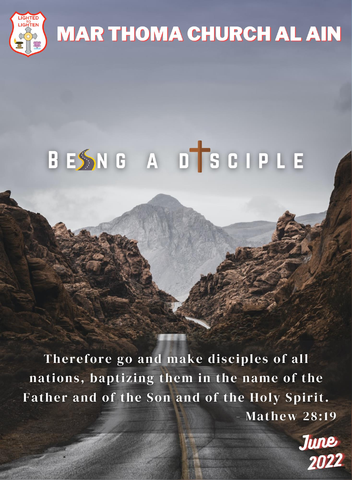

# **MAR THOMA CHURCH AL AIN**

# BESNG A DTSCIPLE

Therefore go and make disciples of all nations, baptizing them in the name of the Father and of the Son and of the Holy Spirit.  $-Mathew$  28:19

June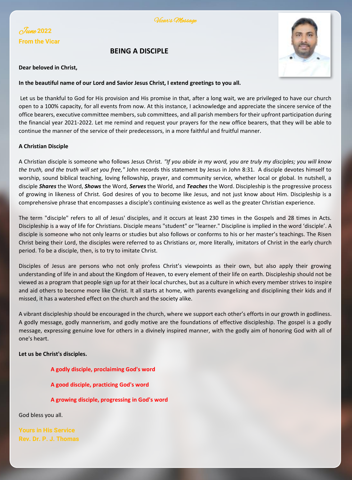

### June **<sup>2022</sup> From the Vicar**

#### **BEING A DISCIPLE**



#### **Dear beloved in Christ,**

#### **In the beautiful name of our Lord and Savior Jesus Christ, I extend greetings to you all.**

Let us be thankful to God for His provision and His promise in that, after a long wait, we are privileged to have our church open to a 100% capacity, for all events from now. At this instance, I acknowledge and appreciate the sincere service of the office bearers, executive committee members, sub committees, and all parish members for their upfront participation during the financial year 2021-2022. Let me remind and request your prayers for the new office bearers, that they will be able to continue the manner of the service of their predecessors, in a more faithful and fruitful manner.

#### **A Christian Disciple**

A Christian disciple is someone who follows Jesus Christ. *"If you abide in my word, you are truly my disciples; you will know the truth, and the truth will set you free,"* John records this statement by Jesus in John 8:31. A disciple devotes himself to worship, sound biblical teaching, loving fellowship, prayer, and community service, whether local or global. In nutshell, a disciple *Shares* the Word, *Shows* the Word, *Serves* the World, and *Teaches* the Word. Discipleship is the progressive process of growing in likeness of Christ. God desires of you to become like Jesus, and not just know about Him. Discipleship is a comprehensive phrase that encompasses a disciple's continuing existence as well as the greater Christian experience.

The term "disciple" refers to all of Jesus' disciples, and it occurs at least 230 times in the Gospels and 28 times in Acts. Discipleship is a way of life for Christians. Disciple means "student" or "learner." Discipline is implied in the word 'disciple'. A disciple is someone who not only learns or studies but also follows or conforms to his or her master's teachings. The Risen Christ being their Lord, the disciples were referred to as Christians or, more literally, imitators of Christ in the early church period. To be a disciple, then, is to try to imitate Christ.

Disciples of Jesus are persons who not only profess Christ's viewpoints as their own, but also apply their growing understanding of life in and about the Kingdom of Heaven, to every element of their life on earth. Discipleship should not be viewed as a program that people sign up for at their local churches, but as a culture in which every member strives to inspire and aid others to become more like Christ. It all starts at home, with parents evangelizing and disciplining their kids and if missed, it has a watershed effect on the church and the society alike.

A vibrant discipleship should be encouraged in the church, where we support each other's efforts in our growth in godliness. A godly message, godly mannerism, and godly motive are the foundations of effective discipleship. The gospel is a godly message, expressing genuine love for others in a divinely inspired manner, with the godly aim of honoring God with all of one's heart.

#### **Let us be Christ's disciples.**

- **A godly disciple, proclaiming God's word**
- **A good disciple, practicing God's word**
- **A growing disciple, progressing in God's word**

God bless you all.

**Rev. Dr. P. J. Thomas**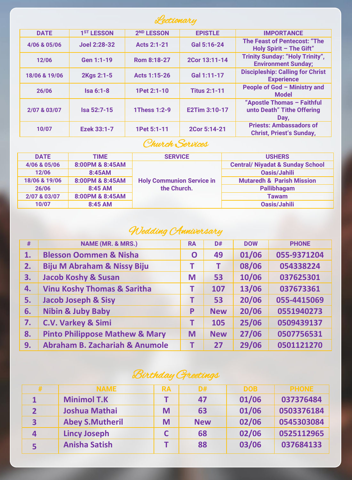

| <b>DATE</b>   | 1 <sup>ST</sup> LESSON | 2 <sup>ND</sup> LESSON | <b>EPISTLE</b>      | <b>IMPORTANCE</b>                                                    |
|---------------|------------------------|------------------------|---------------------|----------------------------------------------------------------------|
| 4/06 & 05/06  | Joel 2:28-32           | Acts 2:1-21            | Gal 5:16-24         | The Feast of Pentecost: "The<br>Holy Spirit $-$ The Gift"            |
| 12/06         | Gen 1:1-19             | Rom 8:18-27            | 2Cor 13:11-14       | <b>Trinity Sunday: "Holy Trinity",</b><br><b>Environment Sunday:</b> |
| 18/06 & 19/06 | 2Kgs 2:1-5             | Acts 1:15-26           | Gal 1:11-17         | <b>Discipleship: Calling for Christ</b><br><b>Experience</b>         |
| 26/06         | $Isa 6:1-8$            | 1Pet 2:1-10            | <b>Titus 2:1-11</b> | People of God - Ministry and<br><b>Model</b>                         |
| 2/07 & 03/07  | Isa 52:7-15            | 1Thess 1:2-9           | E2Tim 3:10-17       | "Apostle Thomas - Faithful<br>unto Death" Tithe Offering<br>Day,     |
| 10/07         | Ezek 33:1-7            | 1Pet 5:1-11            | 2Cor 5:14-21        | <b>Priests: Ambassadors of</b><br><b>Christ. Priest's Sundav.</b>    |

# Church Services

| <b>DATE</b>   | <b>TIME</b>     | <b>SERVICE</b>                   | <b>USHERS</b>                               |
|---------------|-----------------|----------------------------------|---------------------------------------------|
| 4/06 & 05/06  | 8:00PM & 8:45AM |                                  | <b>Central/ Niyadat &amp; Sunday School</b> |
| 12/06         | 8:45AM          |                                  | Oasis/Jahili                                |
| 18/06 & 19/06 | 8:00PM & 8:45AM | <b>Holy Communion Service in</b> | <b>Mutaredh &amp; Parish Mission</b>        |
| 26/06         | 8:45 AM         | the Church.                      | Pallibhagam                                 |
| 2/07 & 03/07  | 8:00PM & 8:45AM |                                  | <b>Tawam</b>                                |
| 10/07         | 8:45 AM         |                                  | Oasis/Jahili                                |

# Wedding CAnniversary

| #  | <b>NAME (MR. &amp; MRS.)</b>              | <b>RA</b> | D#         | <b>DOW</b> | <b>PHONE</b> |
|----|-------------------------------------------|-----------|------------|------------|--------------|
| 1. | <b>Blesson Oommen &amp; Nisha</b>         | O         | 49         | 01/06      | 055-9371204  |
| 2. | <b>Biju M Abraham &amp; Nissy Biju</b>    | т         | т          | 08/06      | 054338224    |
| З. | <b>Jacob Koshy &amp; Susan</b>            | M         | 53         | 10/06      | 037625301    |
| 4. | <b>Vinu Koshy Thomas &amp; Saritha</b>    | т         | 107        | 13/06      | 037673361    |
| 5. | <b>Jacob Joseph &amp; Sisy</b>            | т         | 53         | 20/06      | 055-4415069  |
| 6. | <b>Nibin &amp; Juby Baby</b>              | P         | <b>New</b> | 20/06      | 0551940273   |
| 7. | C.V. Varkey & Simi                        | т         | 105        | 25/06      | 0509439137   |
| 8. | <b>Pinto Philippose Mathew &amp; Mary</b> | M         | <b>New</b> | 27/06      | 0507756531   |
| 9. | <b>Abraham B. Zachariah &amp; Anumole</b> | т         | 27         | 29/06      | 0501121270   |

# Birthday Greetings

| # | <b>NAME</b>            | <b>RA</b> | D#         | <b>DOB</b> | <b>PHONE</b> |
|---|------------------------|-----------|------------|------------|--------------|
|   | <b>Minimol T.K</b>     |           | 47         | 01/06      | 037376484    |
| 2 | <b>Joshua Mathai</b>   | M         | 63         | 01/06      | 0503376184   |
| 3 | <b>Abey S.Mutheril</b> | M         | <b>New</b> | 02/06      | 0545303084   |
| 4 | <b>Lincy Joseph</b>    |           | 68         | 02/06      | 0525112965   |
| 5 | <b>Anisha Satish</b>   |           | 88         | 03/06      | 037684133    |

 $\overline{\phantom{0}}$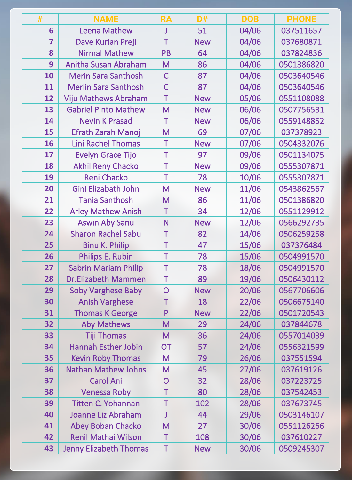| #               | <b>NAME</b>                   | <b>RA</b>               | D#         | <b>DOB</b> | <b>PHONE</b> |
|-----------------|-------------------------------|-------------------------|------------|------------|--------------|
| $6\phantom{1}6$ | Leena Mathew                  | J                       | 51         | 04/06      | 037511657    |
| $\overline{7}$  | Dave Kurian Preji             | T                       | <b>New</b> | 04/06      | 037680871    |
| 8               | <b>Nirmal Mathew</b>          | PB                      | 64         | 04/06      | 037824836    |
| 9               | Anitha Susan Abraham          | M                       | 86         | 04/06      | 0501386820   |
| 10              | <b>Merin Sara Santhosh</b>    | $\overline{C}$          | 87         | 04/06      | 0503640546   |
| 11              | <b>Merlin Sara Santhosh</b>   | $\overline{C}$          | 87         | 04/06      | 0503640546   |
| 12              | Viju Mathews Abraham          | T                       | <b>New</b> | 05/06      | 0551108088   |
| 13              | <b>Gabriel Pinto Mathew</b>   | M                       | <b>New</b> | 06/06      | 0507756531   |
| 14              | <b>Nevin K Prasad</b>         | $\top$                  | <b>New</b> | 06/06      | 0559148852   |
| 15              | Efrath Zarah Manoj            | M                       | 69         | 07/06      | 037378923    |
| 16              | <b>Lini Rachel Thomas</b>     | $\top$                  | <b>New</b> | 07/06      | 0504332076   |
| 17              | <b>Evelyn Grace Tijo</b>      | $\mathsf T$             | 97         | 09/06      | 0501134075   |
| 18              | <b>Akhil Reny Chacko</b>      | $\overline{\mathsf{T}}$ | <b>New</b> | 09/06      | 0555307871   |
| 19              | Reni Chacko                   | $\bar{T}$               | 78         | 10/06      | 0555307871   |
| 20              | Gini Elizabath John           | M                       | <b>New</b> | 11/06      | 0543862567   |
| 21              | <b>Tania Santhosh</b>         | M                       | 86         | 11/06      | 0501386820   |
| 22              | <b>Arley Mathew Anish</b>     | $\top$                  | 34         | 12/06      | 0551129912   |
| 23              | <b>Aswin Aby Sanu</b>         | N                       | <b>New</b> | 12/06      | 0566292735   |
| 24              | <b>Sharon Rachel Sabu</b>     | Ť                       | 82         | 14/06      | 0506259258   |
| 25              | <b>Binu K. Philip</b>         | $\top$                  | 47         | 15/06      | 037376484    |
| 26              | Philips E. Rubin              | $\top$                  | 78         | 15/06      | 0504991570   |
| 27              | <b>Sabrin Mariam Philip</b>   | $\top$                  | 78         | 18/06      | 0504991570   |
| 28              | <b>Dr.Elizabeth Mammen</b>    | $\top$                  | 89         | 19/06      | 0506430112   |
| 29              | <b>Soby Varghese Baby</b>     | $\overline{O}$          | <b>New</b> | 20/06      | 0567706606   |
| 30              | <b>Anish Varghese</b>         | T                       | 18         | 22/06      | 0506675140   |
| 31              | <b>Thomas K George</b>        | P                       | <b>New</b> | 22/06      | 0501720543   |
| 32              | <b>Aby Mathews</b>            | M                       | 29         | 24/06      | 037844678    |
| 33              | <b>Tiji Thomas</b>            | M                       | 36         | 24/06      | 0557014039   |
| 34              | <b>Hannah Esther Jobin</b>    | <b>OT</b>               | 57         | 24/06      | 0556321599   |
| 35              | <b>Kevin Roby Thomas</b>      | M                       | 79         | 26/06      | 037551594    |
| 36              | <b>Nathan Mathew Johns</b>    | M                       | 45         | 27/06      | 037619126    |
| 37              | <b>Carol Ani</b>              | $\overline{O}$          | 32         | 28/06      | 037223725    |
| 38              | <b>Venessa Roby</b>           | T                       | 80         | 28/06      | 037542453    |
| 39              | Titten C. Yohannan            | Ť                       | 102        | 28/06      | 037673745    |
| 40              | Joanne Liz Abraham            | J                       | 44         | 29/06      | 0503146107   |
| 41              | Abey Boban Chacko             | M                       | 27         | 30/06      | 0551126266   |
| 42              | <b>Renil Mathai Wilson</b>    | T                       | 108        | 30/06      | 037610227    |
| 43              | <b>Jenny Elizabeth Thomas</b> | $\overline{\mathsf{T}}$ | <b>New</b> | 30/06      | 0509245307   |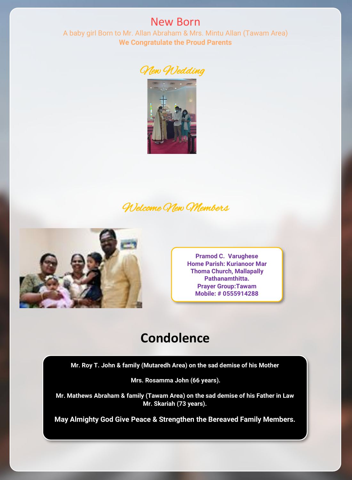New Born A baby girl Born to Mr. Allan Abraham & Mrs. Mintu Allan (Tawam Area) **We Congratulate the Proud Parents**





# Welcome New Members



**Pramod C. Varughese Home Parish: Kurianoor Mar Thoma Church, Mallapally Pathanamthitta. Prayer Group:Tawam Mobile: # 0555914288**

# **Condolence**

**Mr. Roy T. John & family (Mutaredh Area) on the sad demise of his Mother**

**Mrs. Rosamma John (66 years).**

**Mr. Mathews Abraham & family (Tawam Area) on the sad demise of his Father in Law Mr. Skariah (73 years).**

**May Almighty God Give Peace & Strengthen the Bereaved Family Members.**

I